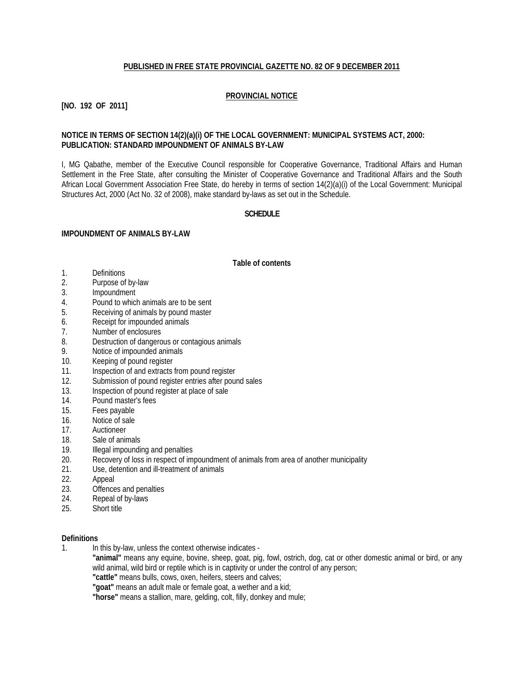## **PUBLISHED IN FREE STATE PROVINCIAL GAZETTE NO. 82 OF 9 DECEMBER 2011**

## **PROVINCIAL NOTICE**

# **[NO. 192 OF 2011]**

## **NOTICE IN TERMS OF SECTION 14(2)(a)(i) OF THE LOCAL GOVERNMENT: MUNICIPAL SYSTEMS ACT, 2000: PUBLICATION: STANDARD IMPOUNDMENT OF ANIMALS BY-LAW**

I, MG Qabathe, member of the Executive Council responsible for Cooperative Governance, Traditional Affairs and Human Settlement in the Free State, after consulting the Minister of Cooperative Governance and Traditional Affairs and the South African Local Government Association Free State, do hereby in terms of section 14(2)(a)(i) of the Local Government: Municipal Structures Act, 2000 (Act No. 32 of 2008), make standard by-laws as set out in the Schedule.

#### **SCHEDULE**

#### **IMPOUNDMENT OF ANIMALS BY-LAW**

#### **Table of contents**

- 1. Definitions
- 2. Purpose of by-law
- 3. Impoundment
- 4. Pound to which animals are to be sent
- 5. Receiving of animals by pound master
- 6. Receipt for impounded animals
- 7. Number of enclosures
- 8. Destruction of dangerous or contagious animals
- 9. Notice of impounded animals
- 10. Keeping of pound register
- 11. Inspection of and extracts from pound register
- 12. Submission of pound register entries after pound sales
- 13. Inspection of pound register at place of sale 14. Pound master's fees
- 14. Pound master's fees<br>15. Fees pavable
- Fees payable
- 16. Notice of sale
- 17. Auctioneer
- 18. Sale of animals
- 19. Illegal impounding and penalties
- 20. Recovery of loss in respect of impoundment of animals from area of another municipality<br>21 Lise detention and ill-treatment of animals
- Use, detention and ill-treatment of animals
- 22. Appeal
- 23. Offences and penalties<br>24 Repeal of by-laws
- Repeal of by-laws
- 25. Short title

#### **Definitions**

1. In this by-law, unless the context otherwise indicates -

**"animal"** means any equine, bovine, sheep, goat, pig, fowl, ostrich, dog, cat or other domestic animal or bird, or any wild animal, wild bird or reptile which is in captivity or under the control of any person;

**"cattle"** means bulls, cows, oxen, heifers, steers and calves;

**"goat"** means an adult male or female goat, a wether and a kid;

**"horse"** means a stallion, mare, gelding, colt, filly, donkey and mule;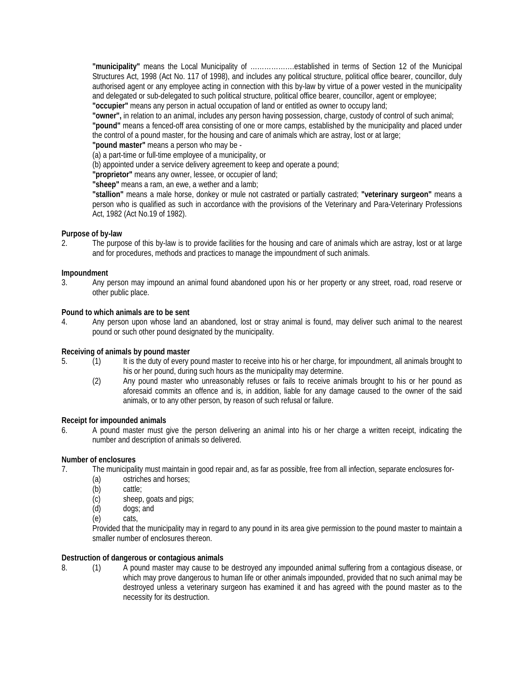**"municipality"** means the Local Municipality of ……………….established in terms of Section 12 of the Municipal Structures Act, 1998 (Act No. 117 of 1998), and includes any political structure, political office bearer, councillor, duly authorised agent or any employee acting in connection with this by-law by virtue of a power vested in the municipality and delegated or sub-delegated to such political structure, political office bearer, councillor, agent or employee; **"occupier"** means any person in actual occupation of land or entitled as owner to occupy land;

**"owner",** in relation to an animal, includes any person having possession, charge, custody of control of such animal; **"pound"** means a fenced-off area consisting of one or more camps, established by the municipality and placed under the control of a pound master, for the housing and care of animals which are astray, lost or at large;

**"pound master"** means a person who may be -

(a) a part-time or full-time employee of a municipality, or

(b) appointed under a service delivery agreement to keep and operate a pound;

**"proprietor"** means any owner, lessee, or occupier of land;

**"sheep"** means a ram, an ewe, a wether and a lamb;

**"stallion"** means a male horse, donkey or mule not castrated or partially castrated; **"veterinary surgeon"** means a person who is qualified as such in accordance with the provisions of the Veterinary and Para-Veterinary Professions Act, 1982 (Act No.19 of 1982).

## **Purpose of by-law**

2. The purpose of this by-law is to provide facilities for the housing and care of animals which are astray, lost or at large and for procedures, methods and practices to manage the impoundment of such animals.

## **Impoundment**

3. Any person may impound an animal found abandoned upon his or her property or any street, road, road reserve or other public place.

## **Pound to which animals are to be sent**

4. Any person upon whose land an abandoned, lost or stray animal is found, may deliver such animal to the nearest pound or such other pound designated by the municipality.

## **Receiving of animals by pound master**

- 5. (1) It is the duty of every pound master to receive into his or her charge, for impoundment, all animals brought to his or her pound, during such hours as the municipality may determine.
	- (2) Any pound master who unreasonably refuses or fails to receive animals brought to his or her pound as aforesaid commits an offence and is, in addition, liable for any damage caused to the owner of the said animals, or to any other person, by reason of such refusal or failure.

## **Receipt for impounded animals**

6. A pound master must give the person delivering an animal into his or her charge a written receipt, indicating the number and description of animals so delivered.

## **Number of enclosures**

- 7. The municipality must maintain in good repair and, as far as possible, free from all infection, separate enclosures for-
	- (a) ostriches and horses;
	- (b) cattle;<br>(c) sheep
	- sheep, goats and pigs;
	- (d) dogs; and
	- (e) cats,

Provided that the municipality may in regard to any pound in its area give permission to the pound master to maintain a smaller number of enclosures thereon.

## **Destruction of dangerous or contagious animals**

8. (1) A pound master may cause to be destroyed any impounded animal suffering from a contagious disease, or which may prove dangerous to human life or other animals impounded, provided that no such animal may be destroyed unless a veterinary surgeon has examined it and has agreed with the pound master as to the necessity for its destruction.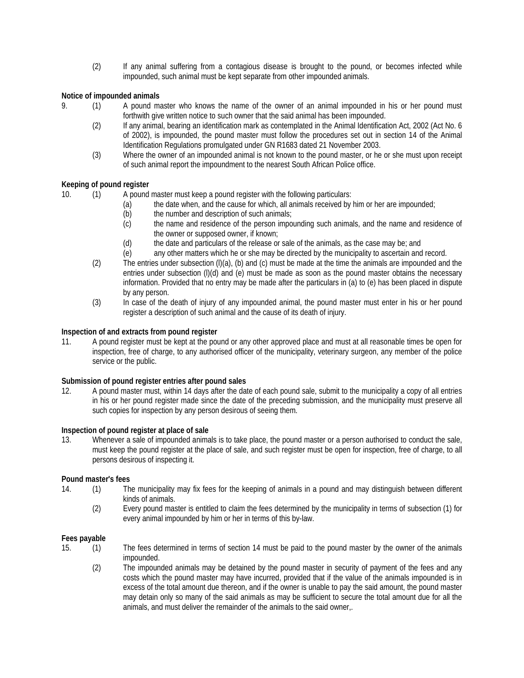(2) If any animal suffering from a contagious disease is brought to the pound, or becomes infected while impounded, such animal must be kept separate from other impounded animals.

# **Notice of impounded animals**

- 9. (1) A pound master who knows the name of the owner of an animal impounded in his or her pound must forthwith give written notice to such owner that the said animal has been impounded.
	- (2) If any animal, bearing an identification mark as contemplated in the Animal Identification Act, 2002 (Act No. 6 of 2002), is impounded, the pound master must follow the procedures set out in section 14 of the Animal Identification Regulations promulgated under GN R1683 dated 21 November 2003.
	- (3) Where the owner of an impounded animal is not known to the pound master, or he or she must upon receipt of such animal report the impoundment to the nearest South African Police office.

## **Keeping of pound register**

- 10. (1) A pound master must keep a pound register with the following particulars:
	- (a) the date when, and the cause for which, all animals received by him or her are impounded;
	- (b) the number and description of such animals;
	- (c) the name and residence of the person impounding such animals, and the name and residence of the owner or supposed owner, if known;
	- (d) the date and particulars of the release or sale of the animals, as the case may be; and
	- (e) any other matters which he or she may be directed by the municipality to ascertain and record.
	- (2) The entries under subsection (l)(a), (b) and (c) must be made at the time the animals are impounded and the entries under subsection (l)(d) and (e) must be made as soon as the pound master obtains the necessary information. Provided that no entry may be made after the particulars in (a) to (e) has been placed in dispute by any person.
	- (3) In case of the death of injury of any impounded animal, the pound master must enter in his or her pound register a description of such animal and the cause of its death of injury.

## **Inspection of and extracts from pound register**

11. A pound register must be kept at the pound or any other approved place and must at all reasonable times be open for inspection, free of charge, to any authorised officer of the municipality, veterinary surgeon, any member of the police service or the public.

## **Submission of pound register entries after pound sales**

12. A pound master must, within 14 days after the date of each pound sale, submit to the municipality a copy of all entries in his or her pound register made since the date of the preceding submission, and the municipality must preserve all such copies for inspection by any person desirous of seeing them.

# **Inspection of pound register at place of sale**<br>13. Whenever a sale of impounded anima

Whenever a sale of impounded animals is to take place, the pound master or a person authorised to conduct the sale, must keep the pound register at the place of sale, and such register must be open for inspection, free of charge, to all persons desirous of inspecting it.

## **Pound master's fees**

- 14. (1) The municipality may fix fees for the keeping of animals in a pound and may distinguish between different kinds of animals.
	- (2) Every pound master is entitled to claim the fees determined by the municipality in terms of subsection (1) for every animal impounded by him or her in terms of this by-law.

## **Fees payable**

- 15. (1) The fees determined in terms of section 14 must be paid to the pound master by the owner of the animals impounded.
	- (2) The impounded animals may be detained by the pound master in security of payment of the fees and any costs which the pound master may have incurred, provided that if the value of the animals impounded is in excess of the total amount due thereon, and if the owner is unable to pay the said amount, the pound master may detain only so many of the said animals as may be sufficient to secure the total amount due for all the animals, and must deliver the remainder of the animals to the said owner,.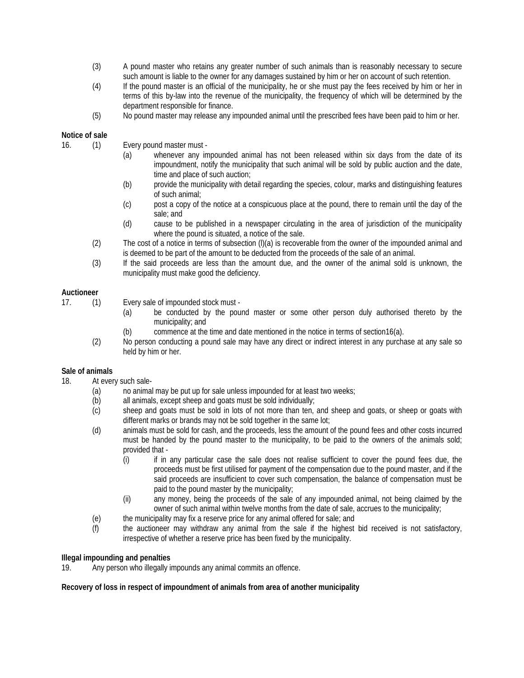- (3) A pound master who retains any greater number of such animals than is reasonably necessary to secure such amount is liable to the owner for any damages sustained by him or her on account of such retention.
- (4) If the pound master is an official of the municipality, he or she must pay the fees received by him or her in terms of this by-law into the revenue of the municipality, the frequency of which will be determined by the department responsible for finance.
- (5) No pound master may release any impounded animal until the prescribed fees have been paid to him or her.

## **Notice of sale**

- 16. (1) Every pound master must
	- (a) whenever any impounded animal has not been released within six days from the date of its impoundment, notify the municipality that such animal will be sold by public auction and the date, time and place of such auction;
	- (b) provide the municipality with detail regarding the species, colour, marks and distinguishing features of such animal;
	- (c) post a copy of the notice at a conspicuous place at the pound, there to remain until the day of the sale; and
	- (d) cause to be published in a newspaper circulating in the area of jurisdiction of the municipality where the pound is situated, a notice of the sale.
	- (2) The cost of a notice in terms of subsection (l)(a) is recoverable from the owner of the impounded animal and is deemed to be part of the amount to be deducted from the proceeds of the sale of an animal.
	- (3) If the said proceeds are less than the amount due, and the owner of the animal sold is unknown, the municipality must make good the deficiency.

## **Auctioneer**

- 
- 17. (1) Every sale of impounded stock must
	- (a) be conducted by the pound master or some other person duly authorised thereto by the municipality; and
	- (b) commence at the time and date mentioned in the notice in terms of section16(a).
	- (2) No person conducting a pound sale may have any direct or indirect interest in any purchase at any sale so held by him or her.

## **Sale of animals**

- 18. At every such sale-
	- (a) no animal may be put up for sale unless impounded for at least two weeks;<br>(b) all animals, except sheep and goats must be sold individually;
	- all animals, except sheep and goats must be sold individually;
	- (c) sheep and goats must be sold in lots of not more than ten, and sheep and goats, or sheep or goats with different marks or brands may not be sold together in the same lot;
	- (d) animals must be sold for cash, and the proceeds, less the amount of the pound fees and other costs incurred must be handed by the pound master to the municipality, to be paid to the owners of the animals sold; provided that -
		- (i) if in any particular case the sale does not realise sufficient to cover the pound fees due, the proceeds must be first utilised for payment of the compensation due to the pound master, and if the said proceeds are insufficient to cover such compensation, the balance of compensation must be paid to the pound master by the municipality;
		- (ii) any money, being the proceeds of the sale of any impounded animal, not being claimed by the owner of such animal within twelve months from the date of sale, accrues to the municipality;
	- (e) the municipality may fix a reserve price for any animal offered for sale; and<br>(f) the auctioneer may withdraw any animal from the sale if the highest
	- the auctioneer may withdraw any animal from the sale if the highest bid received is not satisfactory, irrespective of whether a reserve price has been fixed by the municipality.

## **Illegal impounding and penalties**

19. Any person who illegally impounds any animal commits an offence.

## **Recovery of loss in respect of impoundment of animals from area of another municipality**